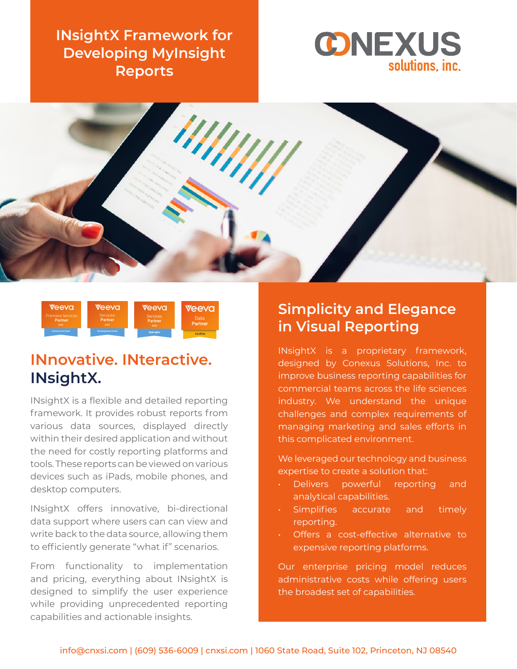**INsightX Framework for Developing MyInsight Reports**







# **INnovative. INteractive. INsightX.**

INsightX is a flexible and detailed reporting framework. It provides robust reports from various data sources, displayed directly within their desired application and without the need for costly reporting platforms and tools. These reports can be viewed on various devices such as iPads, mobile phones, and desktop computers.

INsightX offers innovative, bi-directional data support where users can can view and write back to the data source, allowing them to efficiently generate "what if" scenarios.

From functionality to implementation and pricing, everything about INsightX is designed to simplify the user experience while providing unprecedented reporting capabilities and actionable insights.

## **Simplicity and Elegance in Visual Reporting**

INsightX is a proprietary framework, designed by Conexus Solutions, Inc. to improve business reporting capabilities for commercial teams across the life sciences industry. We understand the unique challenges and complex requirements of managing marketing and sales efforts in this complicated environment.

We leveraged our technology and business expertise to create a solution that:

- Delivers powerful reporting and analytical capabilities.
- Simplifies accurate and timely reporting.
- Offers a cost-effective alternative to expensive reporting platforms.

Our enterprise pricing model reduces administrative costs while offering users the broadest set of capabilities.